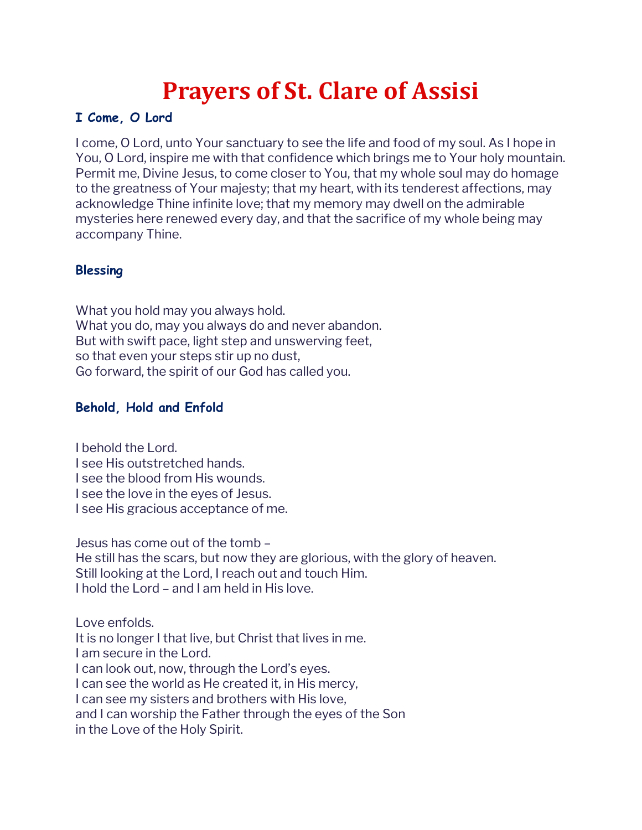# **Prayers of St. Clare of Assisi**

### **I Come, O Lord**

I come, O Lord, unto Your sanctuary to see the life and food of my soul. As I hope in You, O Lord, inspire me with that confidence which brings me to Your holy mountain. Permit me, Divine Jesus, to come closer to You, that my whole soul may do homage to the greatness of Your majesty; that my heart, with its tenderest affections, may acknowledge Thine infinite love; that my memory may dwell on the admirable mysteries here renewed every day, and that the sacrifice of my whole being may accompany Thine.

### **Blessing**

What you hold may you always hold. What you do, may you always do and never abandon. But with swift pace, light step and unswerving feet, so that even your steps stir up no dust, Go forward, the spirit of our God has called you.

## **Behold, Hold and Enfold**

I behold the Lord. I see His outstretched hands. I see the blood from His wounds. I see the love in the eyes of Jesus. I see His gracious acceptance of me.

Jesus has come out of the tomb – He still has the scars, but now they are glorious, with the glory of heaven. Still looking at the Lord, I reach out and touch Him. I hold the Lord – and I am held in His love.

Love enfolds. It is no longer I that live, but Christ that lives in me. I am secure in the Lord. I can look out, now, through the Lord's eyes. I can see the world as He created it, in His mercy, I can see my sisters and brothers with His love, and I can worship the Father through the eyes of the Son in the Love of the Holy Spirit.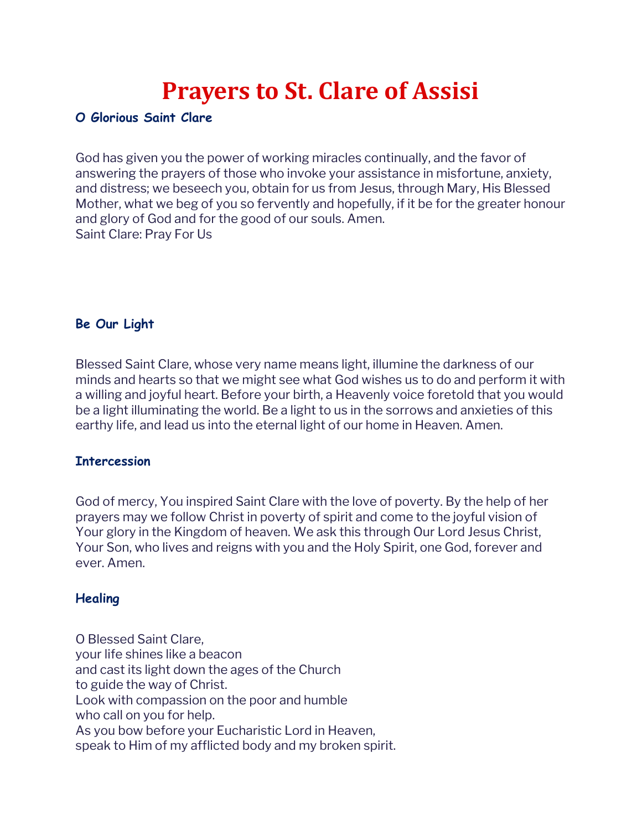# **Prayers to St. Clare of Assisi**

### **O Glorious Saint Clare**

God has given you the power of working miracles continually, and the favor of answering the prayers of those who invoke your assistance in misfortune, anxiety, and distress; we beseech you, obtain for us from Jesus, through Mary, His Blessed Mother, what we beg of you so fervently and hopefully, if it be for the greater honour and glory of God and for the good of our souls. Amen. Saint Clare: Pray For Us

## **Be Our Light**

Blessed Saint Clare, whose very name means light, illumine the darkness of our minds and hearts so that we might see what God wishes us to do and perform it with a willing and joyful heart. Before your birth, a Heavenly voice foretold that you would be a light illuminating the world. Be a light to us in the sorrows and anxieties of this earthy life, and lead us into the eternal light of our home in Heaven. Amen.

#### **Intercession**

God of mercy, You inspired Saint Clare with the love of poverty. By the help of her prayers may we follow Christ in poverty of spirit and come to the joyful vision of Your glory in the Kingdom of heaven. We ask this through Our Lord Jesus Christ, Your Son, who lives and reigns with you and the Holy Spirit, one God, forever and ever. Amen.

## **Healing**

O Blessed Saint Clare, your life shines like a beacon and cast its light down the ages of the Church to guide the way of Christ. Look with compassion on the poor and humble who call on you for help. As you bow before your Eucharistic Lord in Heaven, speak to Him of my afflicted body and my broken spirit.